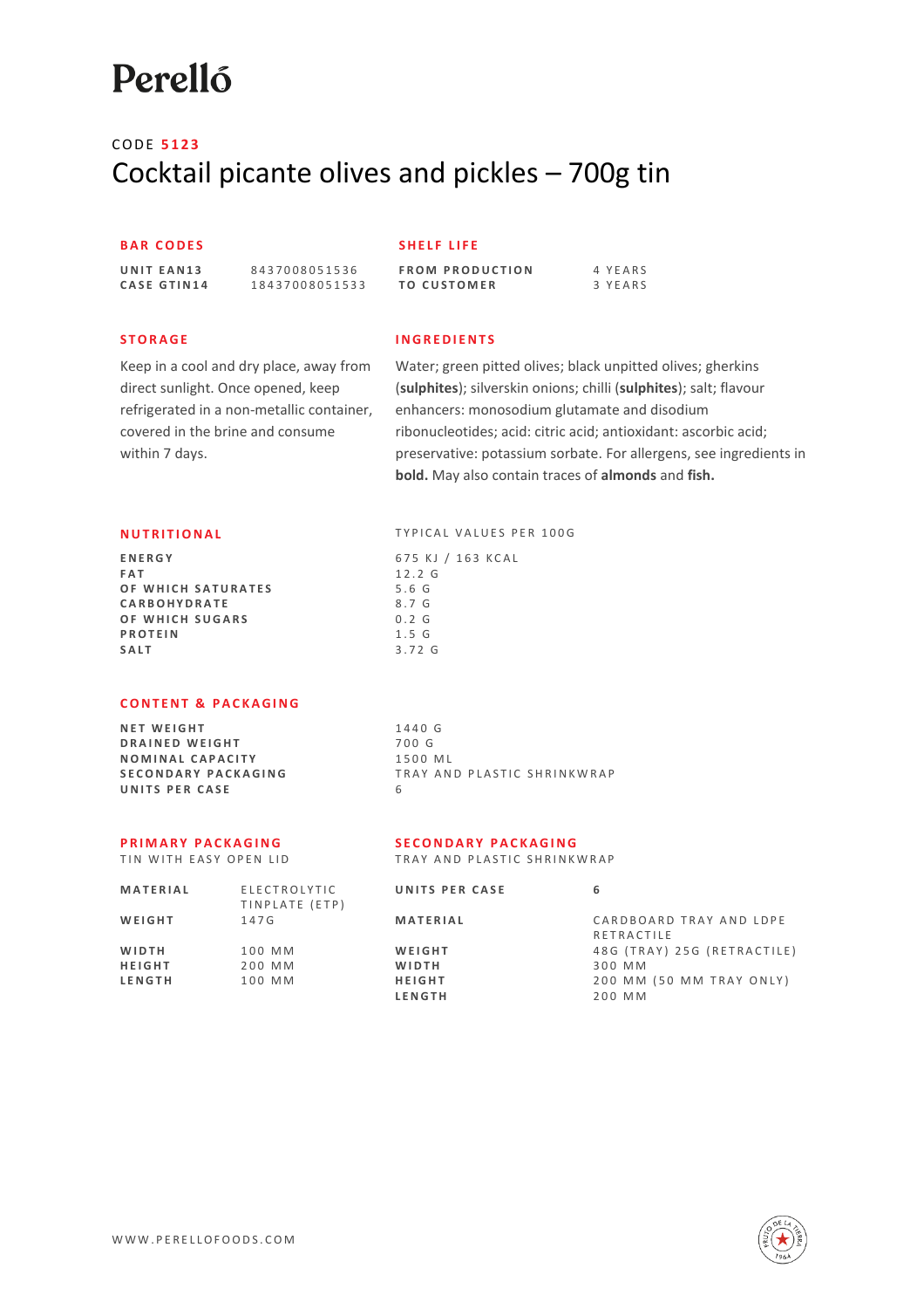# Perelló

### C O D E **5 1 2 3**

## Cocktail picante olives and pickles – 700g tin

#### **B A R C O D E S S H E L F L I F E**

**UNIT EAN13** 8437008051536 **FROM PRODUCTION** 4 YEARS **CASE GTIN14 18437008051533 TO CUSTOMER** 3 YEARS

#### **STORAGE INGREDIENTS**

Keep in a cool and dry place, away from direct sunlight. Once opened, keep refrigerated in a non-metallic container, covered in the brine and consume within 7 days.

Water; green pitted olives; black unpitted olives; gherkins (**sulphites**); silverskin onions; chilli (**sulphites**); salt; flavour enhancers: monosodium glutamate and disodium ribonucleotides; acid: citric acid; antioxidant: ascorbic acid; preservative: potassium sorbate. For allergens, see ingredients in **bold.** May also contain traces of **almonds** and **fish.**

#### **NUTRITIONAL** TYPICAL VALUES PER 100G

**ENERGY** 675 KJ / 163 KCAL **FAT** 12.2 G<br> **OF WHICH SATURATES** 5.6 G **OF WHICH SATURATES** 5.6 G<br> **CARBOHYDRATE** 8.7 G **CARBOHYDRATE** 8.7 G<br> **OF WHICH SUGARS** 0.2 G **OF WHICH SUGARS** 0.2 G<br> **PROTEIN** 1.5 G **PROTEIN**<br>SALT

### **CONTENT & PACKAGING**

**N ET WEIGHT** 1440 G<br> **DRAINED WEIGHT** 700 G **D RAINED WEIGHT** 700 G<br>**NOMINAL CAPACITY** 1500 ML **NOMINAL CAPACITY<br>SECONDARY PACKAGING** UNITS PER CASE 6

**S A L T** 3 . 7 2 G

TRAY AND PLASTIC SHRINKWRAP

TRAY AND PLASTIC SHRINKWRAP

## **P R I M A R Y P A C K A G I N G S E C O N D A R Y P A C K A G I N G**

| MATERIAL      | ELECTROLYTIC<br>TINPLATE (ETP) | UNITS PER CASE  | 6                                     |
|---------------|--------------------------------|-----------------|---------------------------------------|
| WEIGHT        | 147G                           | <b>MATERIAL</b> | CARDBOARD TRAY AND LDPE<br>RETRACTILE |
| WIDTH         | 100 MM                         | WEIGHT          | 48G (TRAY) 25G (RETRACTILE)           |
| <b>HEIGHT</b> | 200 MM                         | <b>WIDTH</b>    | 300 MM                                |
| <b>LENGTH</b> | 100 MM                         | <b>HEIGHT</b>   | 200 MM (50 MM TRAY ONLY)              |
|               |                                | <b>LENGTH</b>   | 200 MM                                |
|               |                                |                 |                                       |